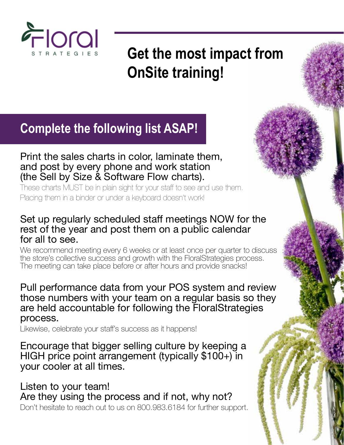

**Get the most impact from OnSite training!**

## **Complete the following list ASAP!**

#### Print the sales charts in color, laminate them, and post by every phone and work station (the Sell by Size & Software Flow charts).

These charts MUST be in plain sight for your staff to see and use them. Placing them in a binder or under a keyboard doesn't work!

### Set up regularly scheduled staff meetings NOW for the rest of the year and post them on a public calendar for all to see.

We recommend meeting every 6 weeks or at least once per quarter to discuss the store's collective success and growth with the FloralStrategies process. The meeting can take place before or after hours and provide snacks!

### Pull performance data from your POS system and review those numbers with your team on a regular basis so they are held accountable for following the FloralStrategies process.

Likewise, celebrate your staff's success as it happens!

Encourage that bigger selling culture by keeping a HIGH price point arrangement (typically \$100+) in your cooler at all times.

Listen to your team! Are they using the process and if not, why not? Don't hesitate to reach out to us on 800.983.6184 for further support.